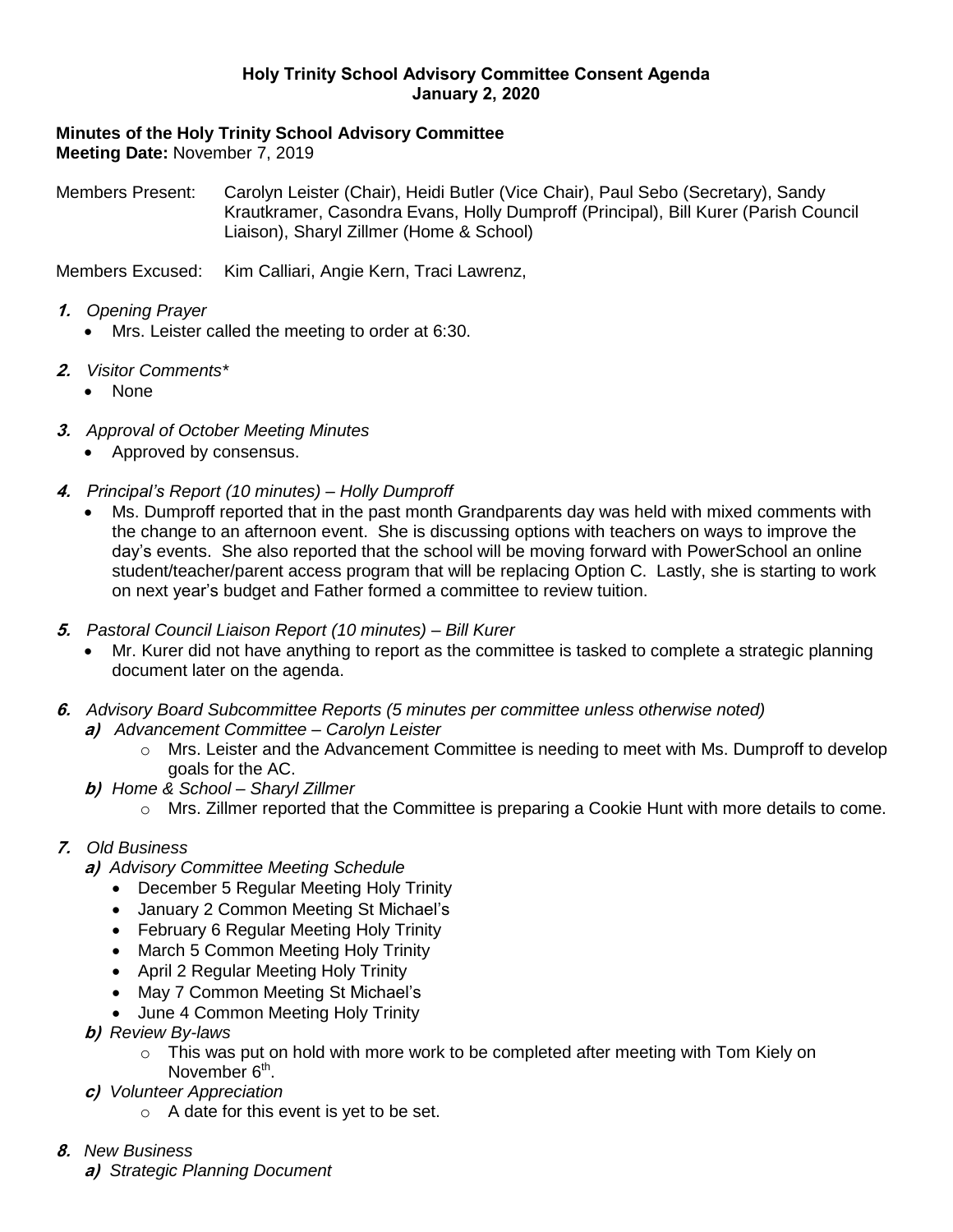### **Holy Trinity School Advisory Committee Consent Agenda January 2, 2020**

# **Minutes of the Holy Trinity School Advisory Committee**

**Meeting Date:** November 7, 2019

Members Present: Carolyn Leister (Chair), Heidi Butler (Vice Chair), Paul Sebo (Secretary), Sandy Krautkramer, Casondra Evans, Holly Dumproff (Principal), Bill Kurer (Parish Council Liaison), Sharyl Zillmer (Home & School)

Members Excused: Kim Calliari, Angie Kern, Traci Lawrenz,

- **1.** *Opening Prayer*
	- Mrs. Leister called the meeting to order at 6:30.
- **2.** *Visitor Comments\**
	- None
- **3.** *Approval of October Meeting Minutes*
	- Approved by consensus.
- **4.** *Principal's Report (10 minutes) – Holly Dumproff*
	- Ms. Dumproff reported that in the past month Grandparents day was held with mixed comments with the change to an afternoon event. She is discussing options with teachers on ways to improve the day's events. She also reported that the school will be moving forward with PowerSchool an online student/teacher/parent access program that will be replacing Option C. Lastly, she is starting to work on next year's budget and Father formed a committee to review tuition.
- **5.** *Pastoral Council Liaison Report (10 minutes) – Bill Kurer*
	- Mr. Kurer did not have anything to report as the committee is tasked to complete a strategic planning document later on the agenda.
- **6.** *Advisory Board Subcommittee Reports (5 minutes per committee unless otherwise noted)*
	- **a)** *Advancement Committee – Carolyn Leister*
		- $\circ$  Mrs. Leister and the Advancement Committee is needing to meet with Ms. Dumproff to develop goals for the AC.
	- **b)** *Home & School – Sharyl Zillmer*
		- $\circ$  Mrs. Zillmer reported that the Committee is preparing a Cookie Hunt with more details to come.

### **7.** *Old Business*

- **a)** *Advisory Committee Meeting Schedule*
	- December 5 Regular Meeting Holy Trinity
	- January 2 Common Meeting St Michael's
	- February 6 Regular Meeting Holy Trinity
	- March 5 Common Meeting Holy Trinity
	- April 2 Regular Meeting Holy Trinity
	- May 7 Common Meeting St Michael's
	- June 4 Common Meeting Holy Trinity
- **b)** *Review By-laws*
	- o This was put on hold with more work to be completed after meeting with Tom Kiely on November 6<sup>th</sup>.
- **c)** *Volunteer Appreciation*
	- o A date for this event is yet to be set.
- **8.** *New Business*
	- **a)** *Strategic Planning Document*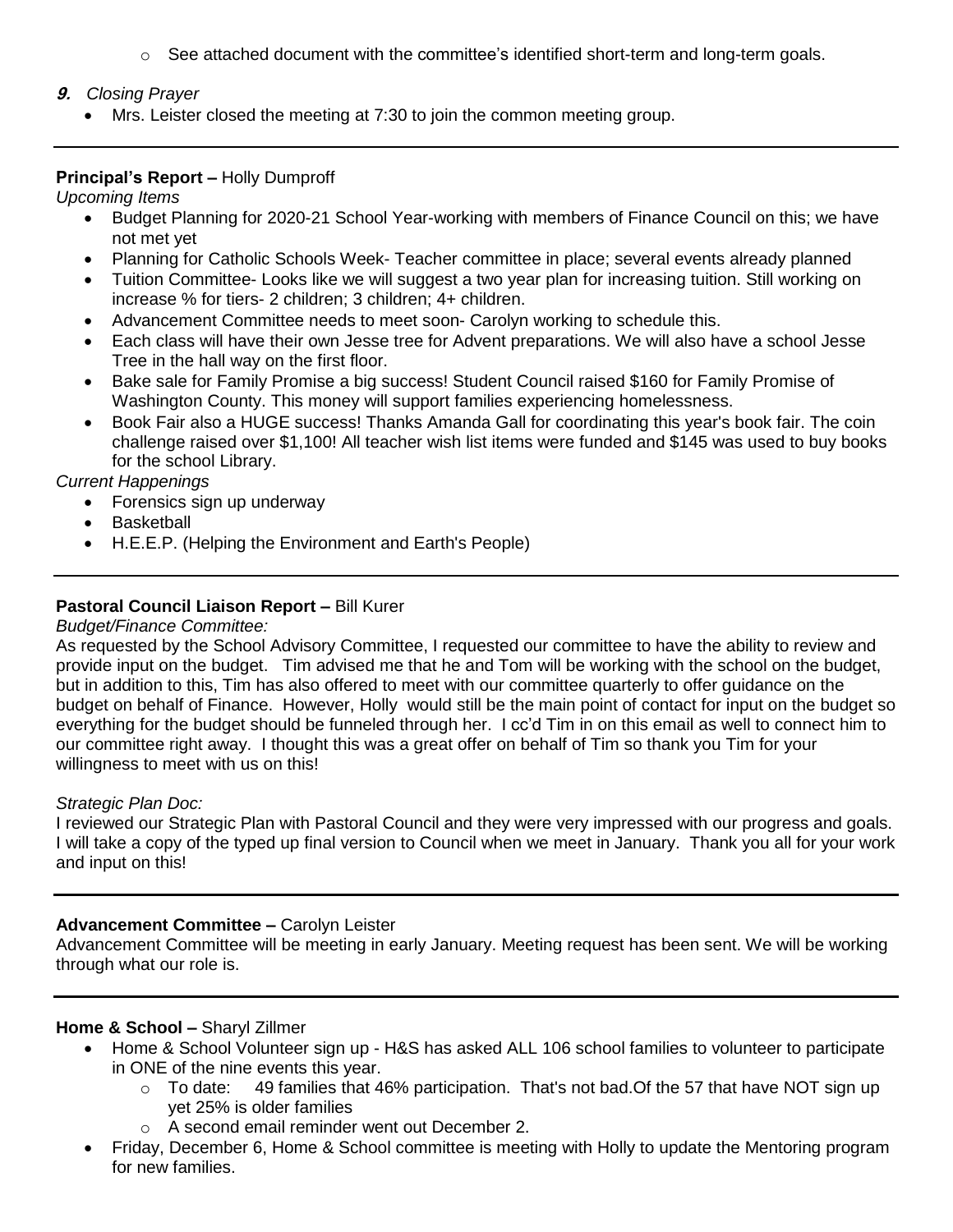$\circ$  See attached document with the committee's identified short-term and long-term goals.

### **9.** *Closing Prayer*

Mrs. Leister closed the meeting at 7:30 to join the common meeting group.

### **Principal's Report –** Holly Dumproff

*Upcoming Items*

- Budget Planning for 2020-21 School Year-working with members of Finance Council on this; we have not met yet
- Planning for Catholic Schools Week- Teacher committee in place; several events already planned
- Tuition Committee- Looks like we will suggest a two year plan for increasing tuition. Still working on increase % for tiers- 2 children; 3 children; 4+ children.
- Advancement Committee needs to meet soon- Carolyn working to schedule this.
- Each class will have their own Jesse tree for Advent preparations. We will also have a school Jesse Tree in the hall way on the first floor.
- Bake sale for Family Promise a big success! Student Council raised \$160 for Family Promise of Washington County. This money will support families experiencing homelessness.
- Book Fair also a HUGE success! Thanks Amanda Gall for coordinating this year's book fair. The coin challenge raised over \$1,100! All teacher wish list items were funded and \$145 was used to buy books for the school Library.

*Current Happenings*

- Forensics sign up underway
- Basketball
- H.E.E.P. (Helping the Environment and Earth's People)

# **Pastoral Council Liaison Report –** Bill Kurer

*Budget/Finance Committee:*

As requested by the School Advisory Committee, I requested our committee to have the ability to review and provide input on the budget. Tim advised me that he and Tom will be working with the school on the budget, but in addition to this, Tim has also offered to meet with our committee quarterly to offer guidance on the budget on behalf of Finance. However, Holly would still be the main point of contact for input on the budget so everything for the budget should be funneled through her. I cc'd Tim in on this email as well to connect him to our committee right away. I thought this was a great offer on behalf of Tim so thank you Tim for your willingness to meet with us on this!

### *Strategic Plan Doc:*

I reviewed our Strategic Plan with Pastoral Council and they were very impressed with our progress and goals. I will take a copy of the typed up final version to Council when we meet in January. Thank you all for your work and input on this!

### **Advancement Committee –** Carolyn Leister

Advancement Committee will be meeting in early January. Meeting request has been sent. We will be working through what our role is.

### **Home & School –** Sharyl Zillmer

- Home & School Volunteer sign up H&S has asked ALL 106 school families to volunteer to participate in ONE of the nine events this year.
	- $\circ$  To date: 49 families that 46% participation. That's not bad. Of the 57 that have NOT sign up yet 25% is older families
	- o A second email reminder went out December 2.
- Friday, December 6, Home & School committee is meeting with Holly to update the Mentoring program for new families.